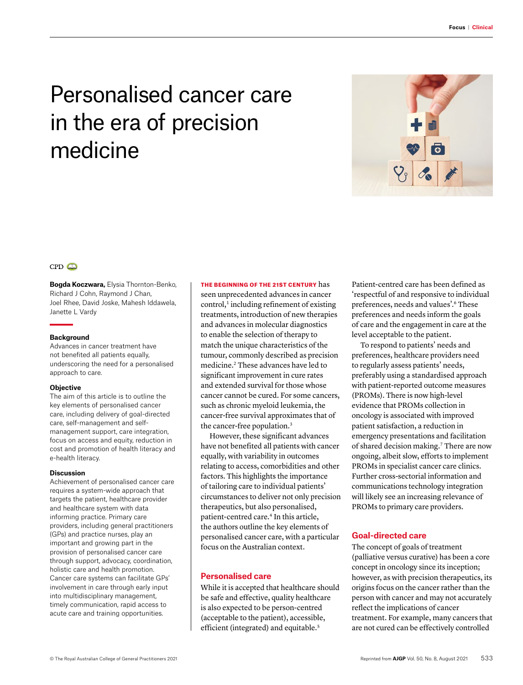# Personalised cancer care in the era of precision medicine



## $CPD$

**Bogda Koczwara,** Elysia Thornton-Benko, Richard J Cohn, Raymond J Chan, Joel Rhee, David Joske, Mahesh Iddawela, Janette L Vardy

#### **Background**

Advances in cancer treatment have not benefited all patients equally, underscoring the need for a personalised approach to care.

#### **Objective**

The aim of this article is to outline the key elements of personalised cancer care, including delivery of goal-directed care, self-management and selfmanagement support, care integration, focus on access and equity, reduction in cost and promotion of health literacy and e-health literacy.

#### **Discussion**

Achievement of personalised cancer care requires a system-wide approach that targets the patient, healthcare provider and healthcare system with data informing practice. Primary care providers, including general practitioners (GPs) and practice nurses, play an important and growing part in the provision of personalised cancer care through support, advocacy, coordination, holistic care and health promotion. Cancer care systems can facilitate GPs' involvement in care through early input into multidisciplinary management, timely communication, rapid access to acute care and training opportunities.

THE BEGINNING OF THE 21ST CENTURY has seen unprecedented advances in cancer  $control<sub>1</sub>$  including refinement of existing treatments, introduction of new therapies and advances in molecular diagnostics to enable the selection of therapy to match the unique characteristics of the tumour, commonly described as precision medicine.2 These advances have led to significant improvement in cure rates and extended survival for those whose cancer cannot be cured. For some cancers, such as chronic myeloid leukemia, the cancer-free survival approximates that of the cancer-free population.<sup>3</sup>

However, these significant advances have not benefited all patients with cancer equally, with variability in outcomes relating to access, comorbidities and other factors. This highlights the importance of tailoring care to individual patients' circumstances to deliver not only precision therapeutics, but also personalised, patient-centred care.<sup>4</sup> In this article, the authors outline the key elements of personalised cancer care, with a particular focus on the Australian context.

## **Personalised care**

While it is accepted that healthcare should be safe and effective, quality healthcare is also expected to be person-centred (acceptable to the patient), accessible, efficient (integrated) and equitable.<sup>5</sup>

Patient-centred care has been defined as 'respectful of and responsive to individual preferences, needs and values'.6 These preferences and needs inform the goals of care and the engagement in care at the level acceptable to the patient.

To respond to patients' needs and preferences, healthcare providers need to regularly assess patients' needs, preferably using a standardised approach with patient-reported outcome measures (PROMs). There is now high-level evidence that PROMs collection in oncology is associated with improved patient satisfaction, a reduction in emergency presentations and facilitation of shared decision making.<sup>7</sup> There are now ongoing, albeit slow, efforts to implement PROMs in specialist cancer care clinics. Further cross-sectorial information and communications technology integration will likely see an increasing relevance of PROMs to primary care providers.

## **Goal-directed care**

The concept of goals of treatment (palliative versus curative) has been a core concept in oncology since its inception; however, as with precision therapeutics, its origins focus on the cancer rather than the person with cancer and may not accurately reflect the implications of cancer treatment. For example, many cancers that are not cured can be effectively controlled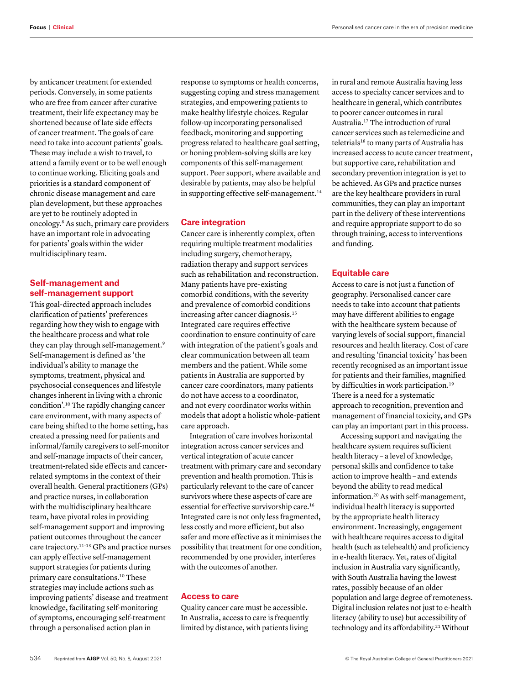by anticancer treatment for extended periods. Conversely, in some patients who are free from cancer after curative treatment, their life expectancy may be shortened because of late side effects of cancer treatment. The goals of care need to take into account patients' goals. These may include a wish to travel, to attend a family event or to be well enough to continue working. Eliciting goals and priorities is a standard component of chronic disease management and care plan development, but these approaches are yet to be routinely adopted in oncology.8 As such, primary care providers have an important role in advocating for patients' goals within the wider multidisciplinary team.

## **Self-management and self-management support**

This goal-directed approach includes clarification of patients' preferences regarding how they wish to engage with the healthcare process and what role they can play through self-management.9 Self-management is defined as 'the individual's ability to manage the symptoms, treatment, physical and psychosocial consequences and lifestyle changes inherent in living with a chronic condition'.10 The rapidly changing cancer care environment, with many aspects of care being shifted to the home setting, has created a pressing need for patients and informal/family caregivers to self-monitor and self-manage impacts of their cancer, treatment-related side effects and cancerrelated symptoms in the context of their overall health. General practitioners (GPs) and practice nurses, in collaboration with the multidisciplinary healthcare team, have pivotal roles in providing self-management support and improving patient outcomes throughout the cancer care trajectory.11–13 GPs and practice nurses can apply effective self-management support strategies for patients during primary care consultations.10 These strategies may include actions such as improving patients' disease and treatment knowledge, facilitating self-monitoring of symptoms, encouraging self-treatment through a personalised action plan in

response to symptoms or health concerns, suggesting coping and stress management strategies, and empowering patients to make healthy lifestyle choices. Regular follow-up incorporating personalised feedback, monitoring and supporting progress related to healthcare goal setting, or honing problem-solving skills are key components of this self-management support. Peer support, where available and desirable by patients, may also be helpful in supporting effective self-management.<sup>14</sup>

## **Care integration**

Cancer care is inherently complex, often requiring multiple treatment modalities including surgery, chemotherapy, radiation therapy and support services such as rehabilitation and reconstruction. Many patients have pre-existing comorbid conditions, with the severity and prevalence of comorbid conditions increasing after cancer diagnosis.<sup>15</sup> Integrated care requires effective coordination to ensure continuity of care with integration of the patient's goals and clear communication between all team members and the patient. While some patients in Australia are supported by cancer care coordinators, many patients do not have access to a coordinator, and not every coordinator works within models that adopt a holistic whole-patient care approach.

Integration of care involves horizontal integration across cancer services and vertical integration of acute cancer treatment with primary care and secondary prevention and health promotion. This is particularly relevant to the care of cancer survivors where these aspects of care are essential for effective survivorship care.16 Integrated care is not only less fragmented, less costly and more efficient, but also safer and more effective as it minimises the possibility that treatment for one condition, recommended by one provider, interferes with the outcomes of another.

## **Access to care**

Quality cancer care must be accessible. In Australia, access to care is frequently limited by distance, with patients living

in rural and remote Australia having less access to specialty cancer services and to healthcare in general, which contributes to poorer cancer outcomes in rural Australia.17 The introduction of rural cancer services such as telemedicine and teletrials<sup>18</sup> to many parts of Australia has increased access to acute cancer treatment, but supportive care, rehabilitation and secondary prevention integration is yet to be achieved. As GPs and practice nurses are the key healthcare providers in rural communities, they can play an important part in the delivery of these interventions and require appropriate support to do so through training, access to interventions and funding.

## **Equitable care**

Access to care is not just a function of geography. Personalised cancer care needs to take into account that patients may have different abilities to engage with the healthcare system because of varying levels of social support, financial resources and health literacy. Cost of care and resulting 'financial toxicity' has been recently recognised as an important issue for patients and their families, magnified by difficulties in work participation.<sup>19</sup> There is a need for a systematic approach to recognition, prevention and management of financial toxicity, and GPs can play an important part in this process.

Accessing support and navigating the healthcare system requires sufficient health literacy – a level of knowledge, personal skills and confidence to take action to improve health – and extends beyond the ability to read medical information.20 As with self-management, individual health literacy is supported by the appropriate health literacy environment. Increasingly, engagement with healthcare requires access to digital health (such as telehealth) and proficiency in e-health literacy. Yet, rates of digital inclusion in Australia vary significantly, with South Australia having the lowest rates, possibly because of an older population and large degree of remoteness. Digital inclusion relates not just to e-health literacy (ability to use) but accessibility of technology and its affordability.<sup>21</sup> Without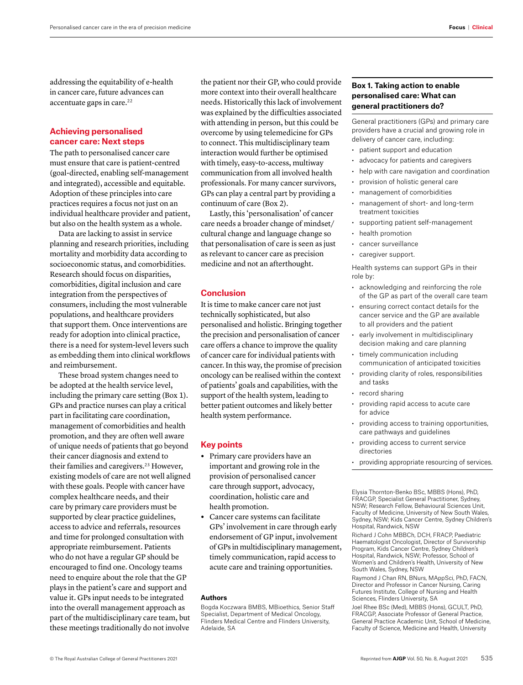addressing the equitability of e-health in cancer care, future advances can accentuate gaps in care.<sup>22</sup>

## **Achieving personalised cancer care: Next steps**

The path to personalised cancer care must ensure that care is patient-centred (goal-directed, enabling self-management and integrated), accessible and equitable. Adoption of these principles into care practices requires a focus not just on an individual healthcare provider and patient, but also on the health system as a whole.

Data are lacking to assist in service planning and research priorities, including mortality and morbidity data according to socioeconomic status, and comorbidities. Research should focus on disparities, comorbidities, digital inclusion and care integration from the perspectives of consumers, including the most vulnerable populations, and healthcare providers that support them. Once interventions are ready for adoption into clinical practice, there is a need for system-level levers such as embedding them into clinical workflows and reimbursement.

These broad system changes need to be adopted at the health service level, including the primary care setting (Box 1). GPs and practice nurses can play a critical part in facilitating care coordination, management of comorbidities and health promotion, and they are often well aware of unique needs of patients that go beyond their cancer diagnosis and extend to their families and caregivers.<sup>23</sup> However, existing models of care are not well aligned with these goals. People with cancer have complex healthcare needs, and their care by primary care providers must be supported by clear practice guidelines, access to advice and referrals, resources and time for prolonged consultation with appropriate reimbursement. Patients who do not have a regular GP should be encouraged to find one. Oncology teams need to enquire about the role that the GP plays in the patient's care and support and value it. GPs input needs to be integrated into the overall management approach as part of the multidisciplinary care team, but these meetings traditionally do not involve

the patient nor their GP, who could provide more context into their overall healthcare needs. Historically this lack of involvement was explained by the difficulties associated with attending in person, but this could be overcome by using telemedicine for GPs to connect. This multidisciplinary team interaction would further be optimised with timely, easy-to-access, multiway communication from all involved health professionals. For many cancer survivors, GPs can play a central part by providing a continuum of care (Box 2).

Lastly, this 'personalisation' of cancer care needs a broader change of mindset/ cultural change and language change so that personalisation of care is seen as just as relevant to cancer care as precision medicine and not an afterthought.

#### **Conclusion**

It is time to make cancer care not just technically sophisticated, but also personalised and holistic. Bringing together the precision and personalisation of cancer care offers a chance to improve the quality of cancer care for individual patients with cancer. In this way, the promise of precision oncology can be realised within the context of patients' goals and capabilities, with the support of the health system, leading to better patient outcomes and likely better health system performance.

## **Key points**

- **•** Primary care providers have an important and growing role in the provision of personalised cancer care through support, advocacy, coordination, holistic care and health promotion.
- **•** Cancer care systems can facilitate GPs' involvement in care through early endorsement of GP input, involvement of GPs in multidisciplinary management, timely communication, rapid access to acute care and training opportunities.

#### **Authors**

Bogda Koczwara BMBS, MBioethics, Senior Staff Specialist, Department of Medical Oncology, Flinders Medical Centre and Flinders University, Adelaide, SA

## **Box 1. Taking action to enable personalised care: What can general practitioners do?**

General practitioners (GPs) and primary care providers have a crucial and growing role in delivery of cancer care, including:

- patient support and education
- advocacy for patients and caregivers
- help with care navigation and coordination
- provision of holistic general care
- management of comorbidities
- management of short- and long-term treatment toxicities
- supporting patient self-management
- health promotion
- cancer surveillance
- caregiver support.

Health systems can support GPs in their role by:

- acknowledging and reinforcing the role of the GP as part of the overall care team
- ensuring correct contact details for the cancer service and the GP are available to all providers and the patient
- early involvement in multidisciplinary decision making and care planning
- timely communication including communication of anticipated toxicities
- providing clarity of roles, responsibilities and tasks
- record sharing
- providing rapid access to acute care for advice
- providing access to training opportunities, care pathways and guidelines
- providing access to current service directories
- providing appropriate resourcing of services.

Elysia Thornton-Benko BSc, MBBS (Hons), PhD, FRACGP, Specialist General Practitioner, Sydney, NSW; Research Fellow, Behavioural Sciences Unit, Faculty of Medicine, University of New South Wales, Sydney, NSW; Kids Cancer Centre, Sydney Children's Hospital, Randwick, NSW

Richard J Cohn MBBCh, DCH, FRACP, Paediatric Haematologist Oncologist, Director of Survivorship Program, Kids Cancer Centre, Sydney Children's Hospital, Randwick, NSW; Professor, School of Women's and Children's Health, University of New South Wales, Sydney, NSW

Raymond J Chan RN, BNurs, MAppSci, PhD, FACN, Director and Professor in Cancer Nursing, Caring Futures Institute, College of Nursing and Health Sciences, Flinders University, SA

Joel Rhee BSc (Med), MBBS (Hons), GCULT, PhD, FRACGP, Associate Professor of General Practice, General Practice Academic Unit, School of Medicine, Faculty of Science, Medicine and Health, University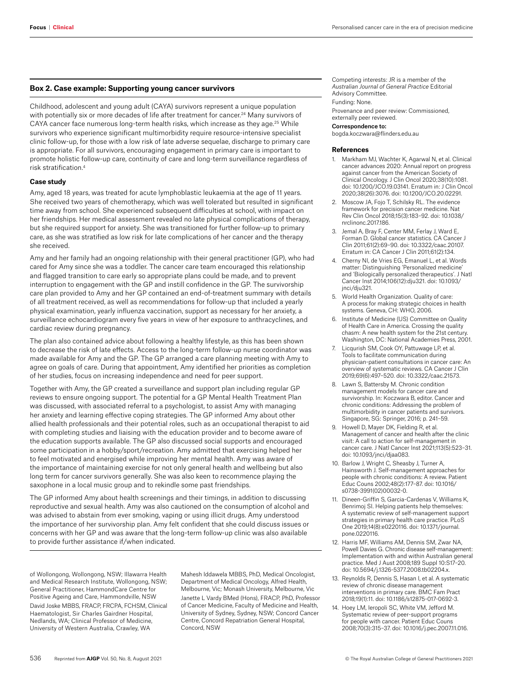#### **Box 2. Case example: Supporting young cancer survivors**

Childhood, adolescent and young adult (CAYA) survivors represent a unique population with potentially six or more decades of life after treatment for cancer.<sup>24</sup> Many survivors of CAYA cancer face numerous long-term health risks, which increase as they age.<sup>25</sup> While survivors who experience significant multimorbidity require resource-intensive specialist clinic follow-up, for those with a low risk of late adverse sequelae, discharge to primary care is appropriate. For all survivors, encouraging engagement in primary care is important to promote holistic follow-up care, continuity of care and long-term surveillance regardless of risk stratification.4

#### **Case study**

Amy, aged 18 years, was treated for acute lymphoblastic leukaemia at the age of 11 years. She received two years of chemotherapy, which was well tolerated but resulted in significant time away from school. She experienced subsequent difficulties at school, with impact on her friendships. Her medical assessment revealed no late physical complications of therapy, but she required support for anxiety. She was transitioned for further follow-up to primary care, as she was stratified as low risk for late complications of her cancer and the therapy she received.

Amy and her family had an ongoing relationship with their general practitioner (GP), who had cared for Amy since she was a toddler. The cancer care team encouraged this relationship and flagged transition to care early so appropriate plans could be made, and to prevent interruption to engagement with the GP and instill confidence in the GP. The survivorship care plan provided to Amy and her GP contained an end-of-treatment summary with details of all treatment received, as well as recommendations for follow-up that included a yearly physical examination, yearly influenza vaccination, support as necessary for her anxiety, a surveillance echocardiogram every five years in view of her exposure to anthracyclines, and cardiac review during pregnancy.

The plan also contained advice about following a healthy lifestyle, as this has been shown to decrease the risk of late effects. Access to the long-term follow-up nurse coordinator was made available for Amy and the GP. The GP arranged a care planning meeting with Amy to agree on goals of care. During that appointment, Amy identified her priorities as completion of her studies, focus on increasing independence and need for peer support.

Together with Amy, the GP created a surveillance and support plan including regular GP reviews to ensure ongoing support. The potential for a GP Mental Health Treatment Plan was discussed, with associated referral to a psychologist, to assist Amy with managing her anxiety and learning effective coping strategies. The GP informed Amy about other allied health professionals and their potential roles, such as an occupational therapist to aid with completing studies and liaising with the education provider and to become aware of the education supports available. The GP also discussed social supports and encouraged some participation in a hobby/sport/recreation. Amy admitted that exercising helped her to feel motivated and energised while improving her mental health. Amy was aware of the importance of maintaining exercise for not only general health and wellbeing but also long term for cancer survivors generally. She was also keen to recommence playing the saxophone in a local music group and to rekindle some past friendships.

The GP informed Amy about health screenings and their timings, in addition to discussing reproductive and sexual health. Amy was also cautioned on the consumption of alcohol and was advised to abstain from ever smoking, vaping or using illicit drugs. Amy understood the importance of her survivorship plan. Amy felt confident that she could discuss issues or concerns with her GP and was aware that the long-term follow-up clinic was also available to provide further assistance if/when indicated.

of Wollongong, Wollongong, NSW; Illawarra Health and Medical Research Institute, Wollongong, NSW; General Practitioner, HammondCare Centre for Positive Ageing and Care, Hammondville, NSW David Joske MBBS, FRACP, FRCPA, FCHSM, Clinical Haematologist, Sir Charles Gairdner Hospital, Nedlands, WA; Clinical Professor of Medicine, University of Western Australia, Crawley, WA

Mahesh Iddawela MBBS, PhD, Medical Oncologist, Department of Medical Oncology, Alfred Health, Melbourne, Vic; Monash University, Melbourne, Vic Janette L Vardy BMed (Hons), FRACP, PhD, Professor of Cancer Medicine, Faculty of Medicine and Health, University of Sydney, Sydney, NSW; Concord Cancer Centre, Concord Repatriation General Hospital, Concord, NSW

Competing interests: JR is a member of the *Australian Journal of General Practice* Editorial Advisory Committee. Funding: None.

Provenance and peer review: Commissioned, externally peer reviewed.

#### Correspondence to:

bogda.koczwara@flinders.edu.au

#### **References**

- 1. Markham MJ, Wachter K, Agarwal N, et al. Clinical cancer advances 2020: Annual report on progress against cancer from the American Society of Clinical Oncology. J Clin Oncol 2020;38(10):1081. doi: 10.1200/JCO.19.03141. Erratum in: J Clin Oncol 2020;38(26):3076. doi: 10.1200/JCO.20.02291.
- 2. Moscow JA, Fojo T, Schilsky RL. The evidence framework for precision cancer medicine. Nat Rev Clin Oncol 2018;15(3):183–92. doi: 10.1038/ nrclinonc.2017.186.
- 3. Jemal A, Bray F, Center MM, Ferlay J, Ward E, Forman D. Global cancer statistics. CA Cancer J Clin 2011;61(2):69–90. doi: 10.3322/caac.20107. Erratum in: CA Cancer J Clin 2011;61(2):134.
- 4. Cherny NI, de Vries EG, Emanuel L, et al. Words matter: Distinguishing 'Personalized medicine' and 'Biologically personalized therapeutics'. J Natl Cancer Inst 2014;106(12):dju321. doi: 10.1093/ inci/diu321.
- 5. World Health Organization. Quality of care: A process for making strategic choices in health systems. Geneva, CH: WHO, 2006.
- 6. Institute of Medicine (US) Committee on Quality of Health Care in America. Crossing the quality chasm: A new health system for the 21st century. Washington, DC: National Academies Press, 2001.
- 7. Licqurish SM, Cook OY, Pattuwage LP, et al. Tools to facilitate communication during physician-patient consultations in cancer care: An overview of systematic reviews. CA Cancer J Clin 2019;69(6):497–520. doi: 10.3322/caac.21573.
- 8. Lawn S, Battersby M. Chronic condition management models for cancer care and survivorship. In: Koczwara B, editor. Cancer and chronic conditions: Addressing the problem of multimorbidity in cancer patients and survivors. Singapore, SG: Springer, 2016; p. 241–59.
- Howell D, Mayer DK, Fielding R, et al. Management of cancer and health after the clinic visit: A call to action for self-management in cancer care. J Natl Cancer Inst 2021;113(5):523–31. doi: 10.1093/jnci/djaa083.
- 10. Barlow J, Wright C, Sheasby J, Turner A, Hainsworth J. Self-management approaches for people with chronic conditions: A review. Patient Educ Couns 2002;48(2):177–87. doi: 10.1016/ s0738-3991(02)00032-0.
- 11. Dineen-Griffin S, Garcia-Cardenas V, Williams K, Benrimoj SI. Helping patients help themselves: A systematic review of self-management support strategies in primary health care practice. PLoS One 2019;14(8):e0220116. doi: 10.1371/journal. pone.0220116.
- 12. Harris MF, Williams AM, Dennis SM, Zwar NA, Powell Davies G. Chronic disease self-management: Implementation with and within Australian general practice. Med J Aust 2008;189 Suppl 10:S17–20. doi: 10.5694/j.1326-5377.2008.tb02204.x.
- 13. Reynolds R, Dennis S, Hasan I, et al. A systematic review of chronic disease management interventions in primary care. BMC Fam Pract 2018;19(1):11. doi: 10.1186/s12875-017-0692-3.
- 14. Hoey LM, Ieropoli SC, White VM, Jefford M. Systematic review of peer-support programs for people with cancer. Patient Educ Couns 2008;70(3):315–37. doi: 10.1016/j.pec.2007.11.016.